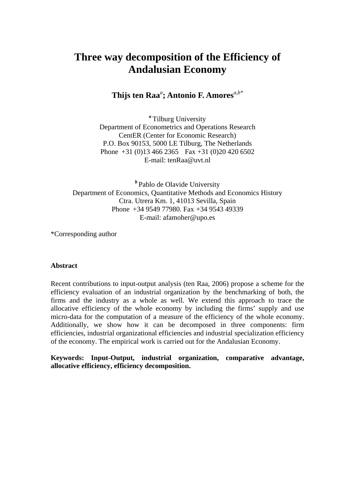# **Three way decomposition of the Efficiency of Andalusian Economy**

**Thijs ten Raa***<sup>a</sup>* **; Antonio F. Amores***a,b\**

*<sup>a</sup>* Tilburg University Department of Econometrics and Operations Research CentER (Center for Economic Research) P.O. Box 90153, 5000 LE Tilburg, The Netherlands Phone  $+31$  (0)13 466 2365 Fax  $+31$  (0)20 420 6502 E-mail: tenRaa@uvt.nl

*<sup>b</sup>* Pablo de Olavide University Department of Economics, Quantitative Methods and Economics History Ctra. Utrera Km. 1, 41013 Sevilla, Spain Phone +34 9549 77980. Fax +34 9543 49339 E-mail: afamoher@upo.es

\*Corresponding author

#### **Abstract**

Recent contributions to input-output analysis (ten Raa, 2006) propose a scheme for the efficiency evaluation of an industrial organization by the benchmarking of both, the firms and the industry as a whole as well. We extend this approach to trace the allocative efficiency of the whole economy by including the firms' supply and use micro-data for the computation of a measure of the efficiency of the whole economy. Additionally, we show how it can be decomposed in three components: firm efficiencies, industrial organizational efficiencies and industrial specialization efficiency of the economy. The empirical work is carried out for the Andalusian Economy.

**Keywords: Input-Output, industrial organization, comparative advantage, allocative efficiency, efficiency decomposition.**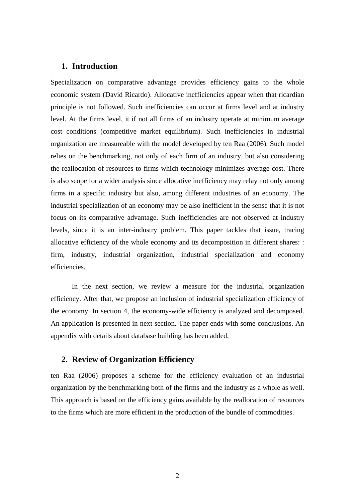## **1. Introduction**

Specialization on comparative advantage provides efficiency gains to the whole economic system (David Ricardo). Allocative inefficiencies appear when that ricardian principle is not followed. Such inefficiencies can occur at firms level and at industry level. At the firms level, it if not all firms of an industry operate at minimum average cost conditions (competitive market equilibrium). Such inefficiencies in industrial organization are measureable with the model developed by ten Raa (2006). Such model relies on the benchmarking, not only of each firm of an industry, but also considering the reallocation of resources to firms which technology minimizes average cost. There is also scope for a wider analysis since allocative inefficiency may relay not only among firms in a specific industry but also, among different industries of an economy. The industrial specialization of an economy may be also inefficient in the sense that it is not focus on its comparative advantage. Such inefficiencies are not observed at industry levels, since it is an inter-industry problem. This paper tackles that issue, tracing allocative efficiency of the whole economy and its decomposition in different shares: : firm, industry, industrial organization, industrial specialization and economy efficiencies.

In the next section, we review a measure for the industrial organization efficiency. After that, we propose an inclusion of industrial specialization efficiency of the economy. In section 4, the economy-wide efficiency is analyzed and decomposed. An application is presented in next section. The paper ends with some conclusions. An appendix with details about database building has been added.

## **2. Review of Organization Efficiency**

ten Raa (2006) proposes a scheme for the efficiency evaluation of an industrial organization by the benchmarking both of the firms and the industry as a whole as well. This approach is based on the efficiency gains available by the reallocation of resources to the firms which are more efficient in the production of the bundle of commodities.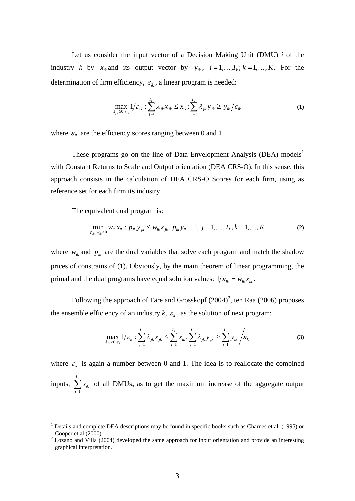Let us consider the input vector of a Decision Making Unit (DMU) *i* of the industry *k* by  $x_{ik}$  and its output vector by  $y_{ik}$ ,  $i = 1,...,I_k$ ;  $k = 1,...,K$ . For the determination of firm efficiency,  $\varepsilon_{ik}$ , a linear program is needed:

$$
\max_{\lambda_{jk}\geq 0,\varepsilon_{ik}} 1/\varepsilon_{ik} : \sum_{j=1}^{I_k} \lambda_{jk} x_{jk} \leq x_{ik}; \sum_{j=1}^{I_k} \lambda_{jk} y_{jk} \geq y_{ik} / \varepsilon_{ik}
$$
 (1)

where  $\varepsilon_{ik}$  are the efficiency scores ranging between 0 and 1.

These programs go on the line of Data Envelopment Analysis (DEA) models<sup>1</sup> with Constant Returns to Scale and Output orientation (DEA CRS-O). In this sense, this approach consists in the calculation of DEA CRS-O Scores for each firm, using as reference set for each firm its industry.

The equivalent dual program is:

<u>.</u>

$$
\min_{p_{ik}, w_{ik} \ge 0} w_{ik} x_{ik} : p_{ik} y_{jk} \le w_{ik} x_{jk}, p_{ik} y_{ik} = 1, j = 1, ..., I_k, k = 1, ..., K
$$
 (2)

where  $w_{ik}$  and  $p_{ik}$  are the dual variables that solve each program and match the shadow prices of constrains of (1). Obviously, by the main theorem of linear programming, the primal and the dual programs have equal solution values:  $1/\varepsilon_{ik} = w_{ik}x_{ik}$ .

Following the approach of Färe and Grosskopf  $(2004)^2$ , ten Raa  $(2006)$  proposes the ensemble efficiency of an industry  $k$ ,  $\varepsilon_k$ , as the solution of next program:

$$
\max_{\lambda_{jk}\geq 0,\varepsilon_k} 1/\varepsilon_k : \sum_{j=1}^{l_k} \lambda_{jk} x_{jk} \leq \sum_{i=1}^{l_k} x_{ik}, \sum_{j=1}^{l_k} \lambda_{jk} y_{jk} \geq \sum_{i=1}^{l_k} y_{ik} / \varepsilon_k
$$
(3)

where  $\varepsilon_k$  is again a number between 0 and 1. The idea is to reallocate the combined inputs,  $\sum_{i=1}^{I_k}$ *i*  $x_{ik}$ 1 of all DMUs, as to get the maximum increase of the aggregate output

<sup>1</sup> Details and complete DEA descriptions may be found in specific books such as Charnes et al. (1995) or Cooper et al  $(2000)$ .

 $2$  Lozano and Villa (2004) developed the same approach for input orientation and provide an interesting graphical interpretation.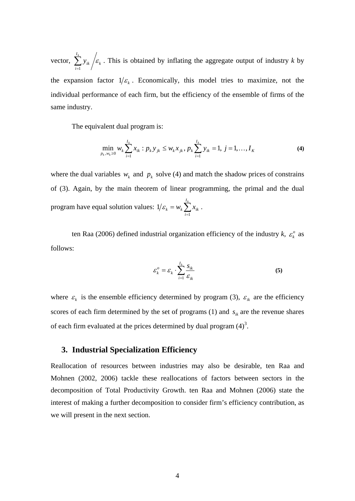vector,  $\sum y_{ik} / \varepsilon_k$ *I i ik*  $\sum_{i=1}^{k} y_{ik}$  / $\varepsilon_k$ . This is obtained by inflating the aggregate output of industry *k* by the expansion factor  $1/\varepsilon$ . Economically, this model tries to maximize, not the individual performance of each firm, but the efficiency of the ensemble of firms of the same industry.

The equivalent dual program is:

$$
\min_{p_k, w_k \ge 0} w_k \sum_{i=1}^{I_k} x_{ik} : p_k y_{jk} \le w_k x_{jk}, p_k \sum_{i=1}^{I_k} y_{ik} = 1, j = 1, ..., I_K
$$
\n(4)

where the dual variables  $w_k$  and  $p_k$  solve (4) and match the shadow prices of constrains of (3). Again, by the main theorem of linear programming, the primal and the dual program have equal solution values:  $1/\varepsilon_k = w_k \sum_{i=1}^{I_k}$ *i*  $x_k = w_k \sum x_{ik}$ 1  $1/\varepsilon_k = w_k \sum x_{ik}$ .

ten Raa (2006) defined industrial organization efficiency of the industry  $k$ ,  $\varepsilon_k^o$  as follows:

$$
\varepsilon_k^o = \varepsilon_k \cdot \sum_{i=1}^{I_k} \frac{s_{ik}}{\varepsilon_{ik}} \tag{5}
$$

where  $\varepsilon_k$  is the ensemble efficiency determined by program (3),  $\varepsilon_{ik}$  are the efficiency scores of each firm determined by the set of programs (1) and  $s_{ik}$  are the revenue shares of each firm evaluated at the prices determined by dual program  $(4)^3$ .

## **3. Industrial Specialization Efficiency**

Reallocation of resources between industries may also be desirable, ten Raa and Mohnen (2002, 2006) tackle these reallocations of factors between sectors in the decomposition of Total Productivity Growth. ten Raa and Mohnen (2006) state the interest of making a further decomposition to consider firm's efficiency contribution, as we will present in the next section.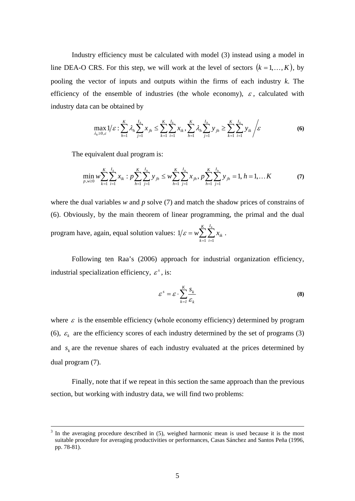Industry efficiency must be calculated with model (3) instead using a model in line DEA-O CRS. For this step, we will work at the level of sectors  $(k = 1, \ldots, K)$ , by pooling the vector of inputs and outputs within the firms of each industry *k*. The efficiency of the ensemble of industries (the whole economy),  $\varepsilon$ , calculated with industry data can be obtained by

$$
\max_{\lambda_h \ge 0, \varepsilon} 1/\varepsilon : \sum_{h=1}^K \lambda_h \sum_{j=1}^{I_h} x_{jh} \le \sum_{k=1}^K \sum_{i=1}^{I_k} x_{ik}, \sum_{h=1}^K \lambda_h \sum_{j=1}^{I_h} y_{jh} \ge \sum_{k=1}^K \sum_{i=1}^{I_k} y_{ik} / \varepsilon
$$
(6)

The equivalent dual program is:

$$
\min_{p,w\geq 0} w \sum_{k=1}^{K} \sum_{i=1}^{I_k} x_{ik} : p \sum_{h=1}^{K} \sum_{j=1}^{I_h} y_{jh} \leq w \sum_{h=1}^{K} \sum_{j=1}^{I_h} x_{jh}, p \sum_{h=1}^{K} \sum_{j=1}^{I_h} y_{jh} = 1, h = 1,... K
$$
\n(7)

where the dual variables *w* and *p* solve (7) and match the shadow prices of constrains of (6). Obviously, by the main theorem of linear programming, the primal and the dual program have, again, equal solution values:  $1/\varepsilon = w \sum_{k=1}^{K} \sum_{i=1}^{I_k}$ *k I i ik*  $w \sum_{k=1}^{K} \sum_{k=1}^{I_k} x_k$  $-1$   $i=1$  $1/\varepsilon = w \sum_i \sum_i x_{ik}$ .

Following ten Raa's (2006) approach for industrial organization efficiency, industrial specialization efficiency,  $\varepsilon^s$ , is:

$$
\varepsilon^s = \varepsilon \cdot \sum_{k=1}^K \frac{S_k}{\varepsilon_k} \tag{8}
$$

where  $\varepsilon$  is the ensemble efficiency (whole economy efficiency) determined by program (6),  $\varepsilon_k$  are the efficiency scores of each industry determined by the set of programs (3) and  $s_k$  are the revenue shares of each industry evaluated at the prices determined by dual program (7).

Finally, note that if we repeat in this section the same approach than the previous section, but working with industry data, we will find two problems:

 $\frac{1}{3}$  In the averaging procedure described in (5), weighed harmonic mean is used because it is the most suitable procedure for averaging productivities or performances, Casas Sánchez and Santos Peña (1996, pp. 78-81).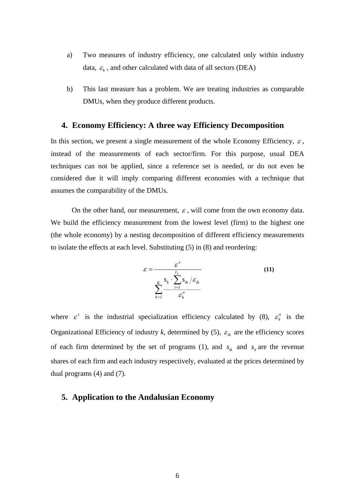- a) Two measures of industry efficiency, one calculated only within industry data,  $\varepsilon_k$ , and other calculated with data of all sectors (DEA)
- b) This last measure has a problem. We are treating industries as comparable DMUs, when they produce different products.

#### **4. Economy Efficiency: A three way Efficiency Decomposition**

In this section, we present a single measurement of the whole Economy Efficiency,  $\varepsilon$ , instead of the measurements of each sector/firm. For this purpose, usual DEA techniques can not be applied, since a reference set is needed, or do not even be considered due it will imply comparing different economies with a technique that assumes the comparability of the DMUs.

On the other hand, our measurement,  $\varepsilon$ , will come from the own economy data. We build the efficiency measurement from the lowest level (firm) to the highest one (the whole economy) by a nesting decomposition of different efficiency measurements to isolate the effects at each level. Substituting (5) in (8) and reordering:

$$
\varepsilon = \frac{\varepsilon^{s}}{\sum_{k=1}^{K} \frac{S_{k}}{S_{k}} \cdot \sum_{i=1}^{I_{k}} S_{ik}} \tag{11}
$$

where  $\varepsilon^s$  is the industrial specialization efficiency calculated by (8),  $\varepsilon^o_k$  is the Organizational Efficiency of industry *k*, determined by (5),  $\varepsilon_{ik}$  are the efficiency scores of each firm determined by the set of programs (1), and  $s_k$  and  $s_k$  are the revenue shares of each firm and each industry respectively, evaluated at the prices determined by dual programs (4) and (7).

#### **5. Application to the Andalusian Economy**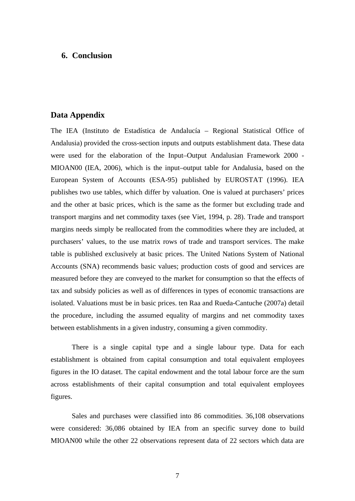# **6. Conclusion**

#### **Data Appendix**

The IEA (Instituto de Estadística de Andalucía – Regional Statistical Office of Andalusia) provided the cross-section inputs and outputs establishment data. These data were used for the elaboration of the Input–Output Andalusian Framework 2000 - MIOAN00 (IEA, 2006), which is the input–output table for Andalusia, based on the European System of Accounts (ESA-95) published by EUROSTAT (1996). IEA publishes two use tables, which differ by valuation. One is valued at purchasers' prices and the other at basic prices, which is the same as the former but excluding trade and transport margins and net commodity taxes (see Viet, 1994, p. 28). Trade and transport margins needs simply be reallocated from the commodities where they are included, at purchasers' values, to the use matrix rows of trade and transport services. The make table is published exclusively at basic prices. The United Nations System of National Accounts (SNA) recommends basic values; production costs of good and services are measured before they are conveyed to the market for consumption so that the effects of tax and subsidy policies as well as of differences in types of economic transactions are isolated. Valuations must be in basic prices. ten Raa and Rueda-Cantuche (2007a) detail the procedure, including the assumed equality of margins and net commodity taxes between establishments in a given industry, consuming a given commodity.

There is a single capital type and a single labour type. Data for each establishment is obtained from capital consumption and total equivalent employees figures in the IO dataset. The capital endowment and the total labour force are the sum across establishments of their capital consumption and total equivalent employees figures.

Sales and purchases were classified into 86 commodities. 36,108 observations were considered: 36,086 obtained by IEA from an specific survey done to build MIOAN00 while the other 22 observations represent data of 22 sectors which data are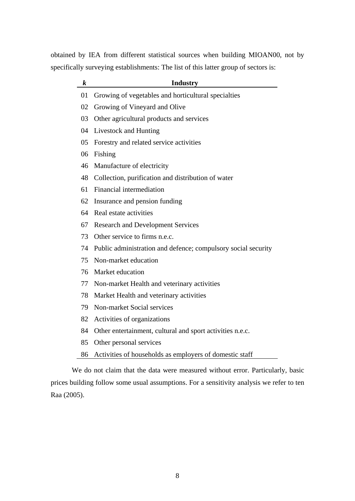obtained by IEA from different statistical sources when building MIOAN00, not by specifically surveying establishments: The list of this latter group of sectors is:

| $\bm{k}$ | <b>Industry</b>                                               |
|----------|---------------------------------------------------------------|
| 01       | Growing of vegetables and horticultural specialties           |
| 02       | Growing of Vineyard and Olive                                 |
| 03       | Other agricultural products and services                      |
| 04       | Livestock and Hunting                                         |
| 05       | Forestry and related service activities                       |
| 06       | Fishing                                                       |
| 46       | Manufacture of electricity                                    |
| 48       | Collection, purification and distribution of water            |
| 61       | Financial intermediation                                      |
| 62       | Insurance and pension funding                                 |
| 64       | Real estate activities                                        |
| 67       | <b>Research and Development Services</b>                      |
| 73       | Other service to firms n.e.c.                                 |
| 74       | Public administration and defence; compulsory social security |
| 75       | Non-market education                                          |
| 76       | Market education                                              |
| 77       | Non-market Health and veterinary activities                   |
| 78       | Market Health and veterinary activities                       |
| 79       | Non-market Social services                                    |
| 82       | Activities of organizations                                   |
| 84       | Other entertainment, cultural and sport activities n.e.c.     |
| 85       | Other personal services                                       |
| 86       | Activities of households as employers of domestic staff       |

We do not claim that the data were measured without error. Particularly, basic prices building follow some usual assumptions. For a sensitivity analysis we refer to ten Raa (2005).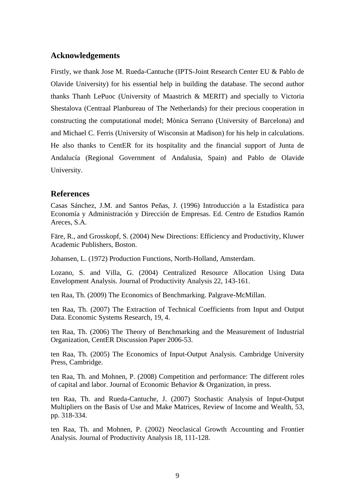# **Acknowledgements**

Firstly, we thank Jose M. Rueda-Cantuche (IPTS-Joint Research Center EU & Pablo de Olavide University) for his essential help in building the database. The second author thanks Thanh LePuoc (University of Maastrich & MERIT) and specially to Victoria Shestalova (Centraal Planbureau of The Netherlands) for their precious cooperation in constructing the computational model; Mònica Serrano (University of Barcelona) and and Michael C. Ferris (University of Wisconsin at Madison) for his help in calculations. He also thanks to CentER for its hospitality and the financial support of Junta de Andalucía (Regional Government of Andalusia, Spain) and Pablo de Olavide University.

# **References**

Casas Sánchez, J.M. and Santos Peñas, J. (1996) Introducción a la Estadística para Economía y Administración y Dirección de Empresas. Ed. Centro de Estudios Ramón Areces, S.A.

Färe, R., and Grosskopf, S. (2004) New Directions: Efficiency and Productivity, Kluwer Academic Publishers, Boston.

Johansen, L. (1972) Production Functions, North-Holland, Amsterdam.

Lozano, S. and Villa, G. (2004) Centralized Resource Allocation Using Data Envelopment Analysis. Journal of Productivity Analysis 22, 143-161.

ten Raa, Th. (2009) The Economics of Benchmarking. Palgrave-McMillan.

ten Raa, Th. (2007) The Extraction of Technical Coefficients from Input and Output Data. Economic Systems Research, 19, 4.

ten Raa, Th. (2006) The Theory of Benchmarking and the Measurement of Industrial Organization, CentER Discussion Paper 2006-53.

ten Raa, Th. (2005) The Economics of Input-Output Analysis. Cambridge University Press, Cambridge.

ten Raa, Th. and Mohnen, P. (2008) Competition and performance: The different roles of capital and labor. Journal of Economic Behavior & Organization, in press.

ten Raa, Th. and Rueda-Cantuche, J. (2007) Stochastic Analysis of Input-Output Multipliers on the Basis of Use and Make Matrices, Review of Income and Wealth, 53, pp. 318-334.

ten Raa, Th. and Mohnen, P. (2002) Neoclasical Growth Accounting and Frontier Analysis. Journal of Productivity Analysis 18, 111-128.